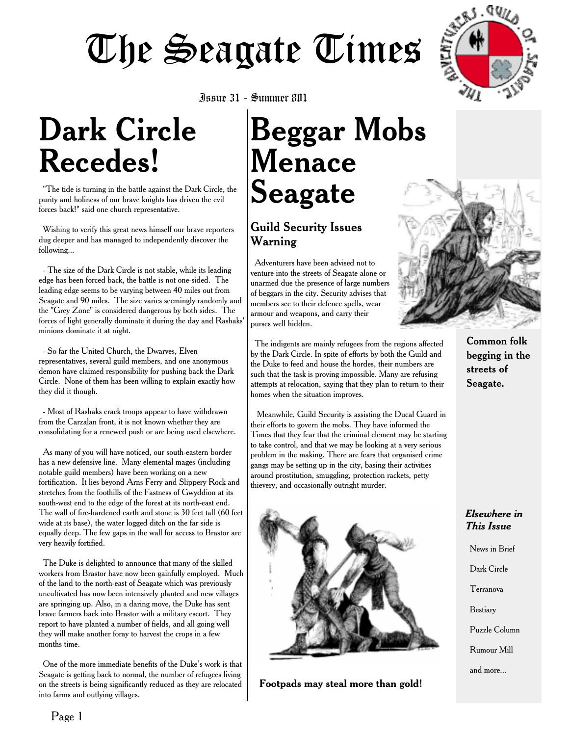

## **Dark Circle Recedes!**

"The tide is turning in the battle against the Dark Circle, the purity and holiness of our brave knights has driven the evil forces back!" said one church representative.

Wishing to verify this great news himself our brave reporters dug deeper and has managed to independently discover the following...

- The size of the Dark Circle is not stable, while its leading edge has been forced back, the battle is not one-sided. The leading edge seems to be varying between 40 miles out from Seagate and 90 miles. The size varies seemingly randomly and the "Grey Zone" is considered dangerous by both sides. The forces of light generally dominate it during the day and Rashaks' minions dominate it at night.

- So far the United Church, the Dwarves, Elven representatives, several guild members, and one anonymous demon have claimed responsibility for pushing back the Dark Circle. None of them has been willing to explain exactly how they did it though.

- Most of Rashaks crack troops appear to have withdrawn from the Carzalan front, it is not known whether they are consolidating for a renewed push or are being used elsewhere.

As many of you will have noticed, our south-eastern border has a new defensive line. Many elemental mages (including notable guild members) have been working on a new fortification. It lies beyond Arns Ferry and Slippery Rock and stretches from the foothills of the Fastness of Gwyddion at its south-west end to the edge of the forest at its north-east end. The wall of fire-hardened earth and stone is 30 feet tall (60 feet wide at its base), the water logged ditch on the far side is equally deep. The few gaps in the wall for access to Brastor are very heavily fortified.

The Duke is delighted to announce that many of the skilled workers from Brastor have now been gainfully employed. Much of the land to the north-east of Seagate which was previously uncultivated has now been intensively planted and new villages are springing up. Also, in a daring move, the Duke has sent brave farmers back into Brastor with a military escort. They report to have planted a number of fields, and all going well they will make another foray to harvest the crops in a few months time.

One of the more immediate benefits of the Duke's work is that Seagate is getting back to normal, the number of refugees living on the streets is being significantly reduced as they are relocated into farms and outlying villages.

Issue 31 - Summer 801

## **Beggar Mobs Menace Seagate**

#### Guild Security Issues Warning

Adventurers have been advised not to venture into the streets of Seagate alone or unarmed due the presence of large numbers of beggars in the city. Security advises that members see to their defence spells, wear armour and weapons, and carry their purses well hidden.

The indigents are mainly refugees from the regions affected by the Dark Circle. In spite of efforts by both the Guild and the Duke to feed and house the hordes, their numbers are such that the task is proving impossible. Many are refusing attempts at relocation, saying that they plan to return to their homes when the situation improves.

Meanwhile, Guild Security is assisting the Ducal Guard in their efforts to govern the mobs. They have informed the Times that they fear that the criminal element may be starting to take control, and that we may be looking at a very serious problem in the making. There are fears that organised crime gangs may be setting up in the city, basing their activities around prostitution, smuggling, protection rackets, petty thievery, and occasionally outright murder.



**Footpads may steal more than gold!**



Common folk begging in the streets of Seagate.

#### *Elsewhere in This Issue*

News in Brief

- Dark Circle
- Terranova
- Bestiary
- Puzzle Column
- Rumour Mill
- and more...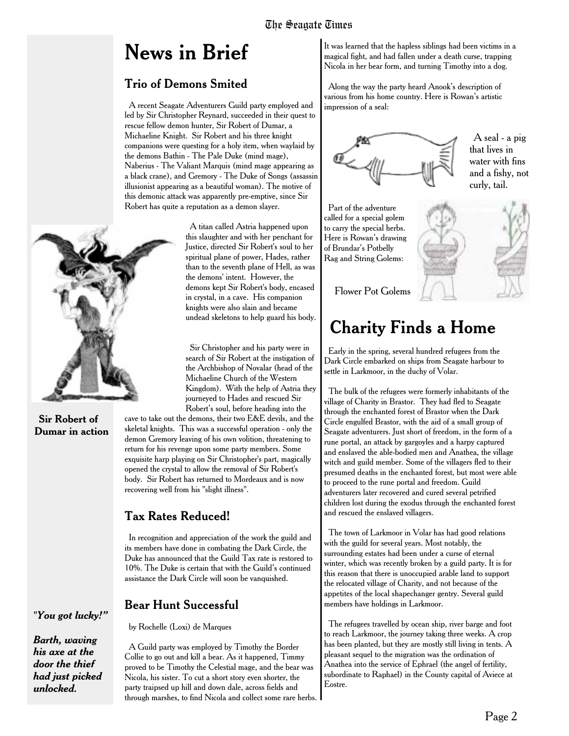## **News in Brief**

#### Trio of Demons Smited

A recent Seagate Adventurers Guild party employed and led by Sir Christopher Reynard, succeeded in their quest to rescue fellow demon hunter, Sir Robert of Dumar, a Michaeline Knight. Sir Robert and his three knight companions were questing for a holy item, when waylaid by the demons Bathin - The Pale Duke (mind mage), Naberius - The Valiant Marquis (mind mage appearing as a black crane), and Gremory - The Duke of Songs (assassin illusionist appearing as a beautiful woman). The motive of this demonic attack was apparently pre-emptive, since Sir Robert has quite a reputation as a demon slayer.

> A titan called Astria happened upon this slaughter and with her penchant for Justice, directed Sir Robert's soul to her spiritual plane of power, Hades, rather than to the seventh plane of Hell, as was the demons' intent. However, the demons kept Sir Robert's body, encased in crystal, in a cave. His companion knights were also slain and became undead skeletons to help guard his body.

> Sir Christopher and his party were in search of Sir Robert at the instigation of the Archbishop of Novalar (head of the Michaeline Church of the Western Kingdom). With the help of Astria they journeyed to Hades and rescued Sir Robert's soul, before heading into the

cave to take out the demons, their two E&E devils, and the skeletal knights. This was a successful operation - only the demon Gremory leaving of his own volition, threatening to return for his revenge upon some party members. Some exquisite harp playing on Sir Christopher's part, magically opened the crystal to allow the removal of Sir Robert's body. Sir Robert has returned to Mordeaux and is now recovering well from his "slight illness".

#### Tax Rates Reduced!

In recognition and appreciation of the work the guild and its members have done in combating the Dark Circle, the Duke has announced that the Guild Tax rate is restored to 10%. The Duke is certain that with the Guild's continued assistance the Dark Circle will soon be vanquished.

#### Bear Hunt Successful

by Rochelle (Loxi) de Marques

A Guild party was employed by Timothy the Border Collie to go out and kill a bear. As it happened, Timmy proved to be Timothy the Celestial mage, and the bear was Nicola, his sister. To cut a short story even shorter, the party traipsed up hill and down dale, across fields and through marshes, to find Nicola and collect some rare herbs.

It was learned that the hapless siblings had been victims in a magical fight, and had fallen under a death curse, trapping Nicola in her bear form, and turning Timothy into a dog.

Along the way the party heard Anook's description of various from his home country. Here is Rowan's artistic impression of a seal:



A seal - a pig that lives in water with fins and a fishy, not curly, tail.

Part of the adventure called for a special golem to carry the special herbs. Here is Rowan's drawing of Brundar's Potbelly Rag and String Golems:



Flower Pot Golems

### **Charity Finds a Home**

Early in the spring, several hundred refugees from the Dark Circle embarked on ships from Seagate harbour to settle in Larkmoor, in the duchy of Volar.

The bulk of the refugees were formerly inhabitants of the village of Charity in Brastor. They had fled to Seagate through the enchanted forest of Brastor when the Dark Circle engulfed Brastor, with the aid of a small group of Seagate adventurers. Just short of freedom, in the form of a rune portal, an attack by gargoyles and a harpy captured and enslaved the able-bodied men and Anathea, the village witch and guild member. Some of the villagers fled to their presumed deaths in the enchanted forest, but most were able to proceed to the rune portal and freedom. Guild adventurers later recovered and cured several petrified children lost during the exodus through the enchanted forest and rescued the enslaved villagers.

The town of Larkmoor in Volar has had good relations with the guild for several years. Most notably, the surrounding estates had been under a curse of eternal winter, which was recently broken by a guild party. It is for this reason that there is unoccupied arable land to support the relocated village of Charity, and not because of the appetites of the local shapechanger gentry. Several guild members have holdings in Larkmoor.

The refugees travelled by ocean ship, river barge and foot to reach Larkmoor, the journey taking three weeks. A crop has been planted, but they are mostly still living in tents. A pleasant sequel to the migration was the ordination of Anathea into the service of Ephrael (the angel of fertility, subordinate to Raphael) in the County capital of Aviece at Eostre.



#### **Sir Robert of Dumar in action**

*"You got lucky!"*

*Barth, waving his axe at the door the thief had just picked unlocked.*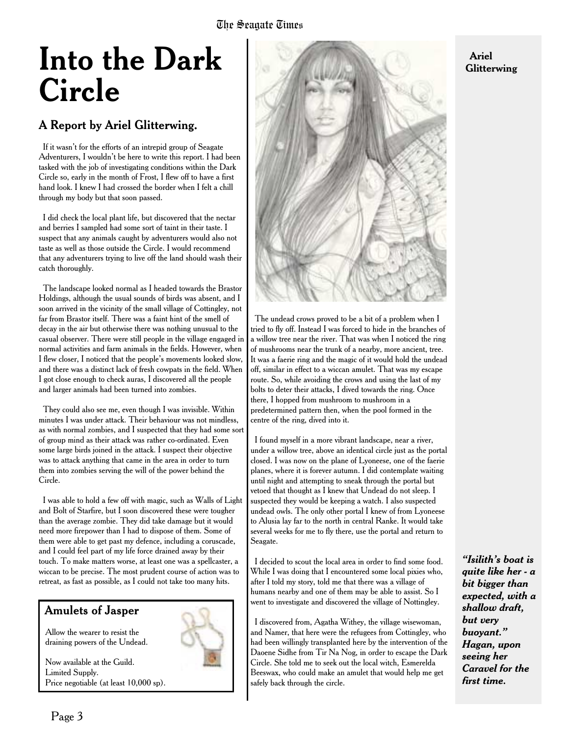## **Into the Dark Circle**

#### A Report by Ariel Glitterwing.

If it wasn't for the efforts of an intrepid group of Seagate Adventurers, I wouldn't be here to write this report. I had been tasked with the job of investigating conditions within the Dark Circle so, early in the month of Frost, I flew off to have a first hand look. I knew I had crossed the border when I felt a chill through my body but that soon passed.

I did check the local plant life, but discovered that the nectar and berries I sampled had some sort of taint in their taste. I suspect that any animals caught by adventurers would also not taste as well as those outside the Circle. I would recommend that any adventurers trying to live off the land should wash their catch thoroughly.

The landscape looked normal as I headed towards the Brastor Holdings, although the usual sounds of birds was absent, and I soon arrived in the vicinity of the small village of Cottingley, not far from Brastor itself. There was a faint hint of the smell of decay in the air but otherwise there was nothing unusual to the casual observer. There were still people in the village engaged in normal activities and farm animals in the fields. However, when I flew closer, I noticed that the people's movements looked slow, and there was a distinct lack of fresh cowpats in the field. When I got close enough to check auras, I discovered all the people and larger animals had been turned into zombies.

They could also see me, even though I was invisible. Within minutes I was under attack. Their behaviour was not mindless, as with normal zombies, and I suspected that they had some sort of group mind as their attack was rather co-ordinated. Even some large birds joined in the attack. I suspect their objective was to attack anything that came in the area in order to turn them into zombies serving the will of the power behind the Circle.

I was able to hold a few off with magic, such as Walls of Light and Bolt of Starfire, but I soon discovered these were tougher than the average zombie. They did take damage but it would need more firepower than I had to dispose of them. Some of them were able to get past my defence, including a coruscade, and I could feel part of my life force drained away by their touch. To make matters worse, at least one was a spellcaster, a wiccan to be precise. The most prudent course of action was to retreat, as fast as possible, as I could not take too many hits.

#### Amulets of Jasper

Allow the wearer to resist the draining powers of the Undead.

Now available at the Guild. Limited Supply. Price negotiable (at least 10,000 sp).



The undead crows proved to be a bit of a problem when I tried to fly off. Instead I was forced to hide in the branches of a willow tree near the river. That was when I noticed the ring of mushrooms near the trunk of a nearby, more ancient, tree. It was a faerie ring and the magic of it would hold the undead off, similar in effect to a wiccan amulet. That was my escape route. So, while avoiding the crows and using the last of my bolts to deter their attacks, I dived towards the ring. Once there, I hopped from mushroom to mushroom in a predetermined pattern then, when the pool formed in the centre of the ring, dived into it.

I found myself in a more vibrant landscape, near a river, under a willow tree, above an identical circle just as the portal closed. I was now on the plane of Lyoneese, one of the faerie planes, where it is forever autumn. I did contemplate waiting until night and attempting to sneak through the portal but vetoed that thought as I knew that Undead do not sleep. I suspected they would be keeping a watch. I also suspected undead owls. The only other portal I knew of from Lyoneese to Alusia lay far to the north in central Ranke. It would take several weeks for me to fly there, use the portal and return to Seagate.

I decided to scout the local area in order to find some food. While I was doing that I encountered some local pixies who, after I told my story, told me that there was a village of humans nearby and one of them may be able to assist. So I went to investigate and discovered the village of Nottingley.

I discovered from, Agatha Withey, the village wisewoman, and Namer, that here were the refugees from Cottingley, who had been willingly transplanted here by the intervention of the Daoene Sidhe from Tir Na Nog, in order to escape the Dark Circle. She told me to seek out the local witch, Esmerelda Beeswax, who could make an amulet that would help me get safely back through the circle.

*"Isilith's boat is quite like her - a bit bigger than expected, with a shallow draft, but very buoyant." Hagan, upon seeing her Caravel for the first time.*

#### **Ariel Glitterwing**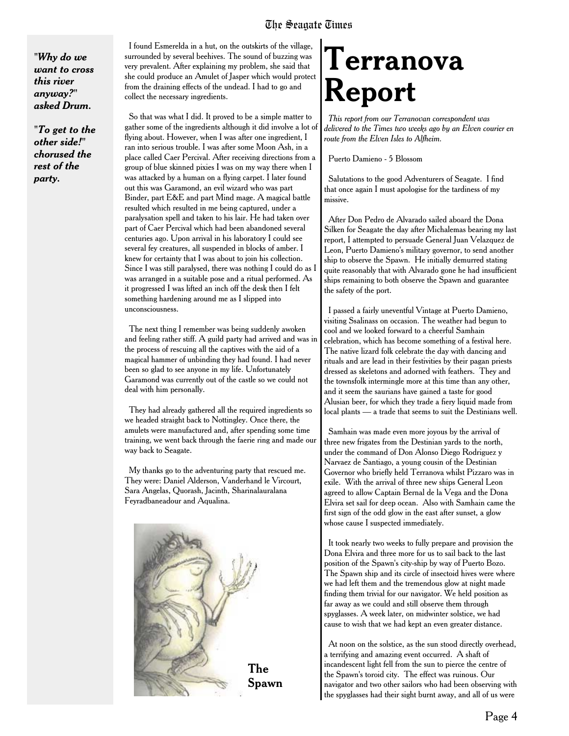*"Why do we want to cross this river anyway?" asked Drum.*

*"To get to the other side!" chorused the rest of the party.*

I found Esmerelda in a hut, on the outskirts of the village, surrounded by several beehives. The sound of buzzing was very prevalent. After explaining my problem, she said that she could produce an Amulet of Jasper which would protect from the draining effects of the undead. I had to go and collect the necessary ingredients.

So that was what I did. It proved to be a simple matter to gather some of the ingredients although it did involve a lot of flying about. However, when I was after one ingredient, I ran into serious trouble. I was after some Moon Ash, in a place called Caer Percival. After receiving directions from a group of blue skinned pixies I was on my way there when I was attacked by a human on a flying carpet. I later found out this was Garamond, an evil wizard who was part Binder, part E&E and part Mind mage. A magical battle resulted which resulted in me being captured, under a paralysation spell and taken to his lair. He had taken over part of Caer Percival which had been abandoned several centuries ago. Upon arrival in his laboratory I could see several fey creatures, all suspended in blocks of amber. I knew for certainty that I was about to join his collection. Since I was still paralysed, there was nothing I could do as I was arranged in a suitable pose and a ritual performed. As it progressed I was lifted an inch off the desk then I felt something hardening around me as I slipped into unconsciousness.

The next thing I remember was being suddenly awoken and feeling rather stiff. A guild party had arrived and was in the process of rescuing all the captives with the aid of a magical hammer of unbinding they had found. I had never been so glad to see anyone in my life. Unfortunately Garamond was currently out of the castle so we could not deal with him personally.

They had already gathered all the required ingredients so we headed straight back to Nottingley. Once there, the amulets were manufactured and, after spending some time training, we went back through the faerie ring and made our way back to Seagate.

My thanks go to the adventuring party that rescued me. They were: Daniel Alderson, Vanderhand le Vircourt, Sara Angelas, Quorash, Jacinth, Sharinalauralana Feyradbaneadour and Aqualina.



## **Terranova Report**

*This report from our Terranovan correspondent was delivered to the Times two weeks ago by an Elven courier en route from the Elven Isles to Alfheim.*

Puerto Damieno - 5 Blossom

Salutations to the good Adventurers of Seagate. I find that once again I must apologise for the tardiness of my missive.

After Don Pedro de Alvarado sailed aboard the Dona Silken for Seagate the day after Michalemas bearing my last report, I attempted to persuade General Juan Velazquez de Leon, Puerto Damieno's military governor, to send another ship to observe the Spawn. He initially demurred stating quite reasonably that with Alvarado gone he had insufficient ships remaining to both observe the Spawn and guarantee the safety of the port.

I passed a fairly uneventful Vintage at Puerto Damieno, visiting Ssalinass on occasion. The weather had begun to cool and we looked forward to a cheerful Samhain celebration, which has become something of a festival here. The native lizard folk celebrate the day with dancing and rituals and are lead in their festivities by their pagan priests dressed as skeletons and adorned with feathers. They and the townsfolk intermingle more at this time than any other, and it seem the saurians have gained a taste for good Alusian beer, for which they trade a fiery liquid made from local plants — a trade that seems to suit the Destinians well.

Samhain was made even more joyous by the arrival of three new frigates from the Destinian yards to the north, under the command of Don Alonso Diego Rodriguez y Narvaez de Santiago, a young cousin of the Destinian Governor who briefly held Terranova whilst Pizzaro was in exile. With the arrival of three new ships General Leon agreed to allow Captain Bernal de la Vega and the Dona Elvira set sail for deep ocean. Also with Samhain came the first sign of the odd glow in the east after sunset, a glow whose cause I suspected immediately.

It took nearly two weeks to fully prepare and provision the Dona Elvira and three more for us to sail back to the last position of the Spawn's city-ship by way of Puerto Bozo. The Spawn ship and its circle of insectoid hives were where we had left them and the tremendous glow at night made finding them trivial for our navigator. We held position as far away as we could and still observe them through spyglasses. A week later, on midwinter solstice, we had cause to wish that we had kept an even greater distance.

At noon on the solstice, as the sun stood directly overhead, a terrifying and amazing event occurred. A shaft of incandescent light fell from the sun to pierce the centre of the Spawn's toroid city. The effect was ruinous. Our navigator and two other sailors who had been observing with the spyglasses had their sight burnt away, and all of us were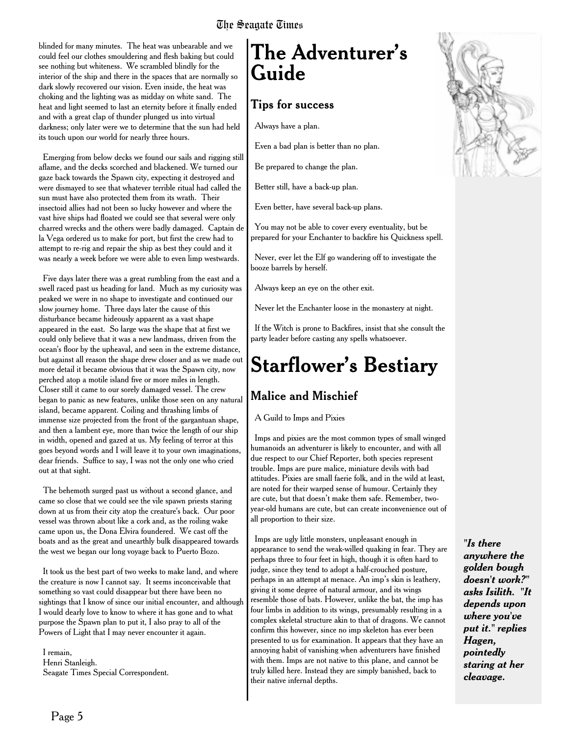blinded for many minutes. The heat was unbearable and we could feel our clothes smouldering and flesh baking but could see nothing but whiteness. We scrambled blindly for the interior of the ship and there in the spaces that are normally so dark slowly recovered our vision. Even inside, the heat was choking and the lighting was as midday on white sand. The heat and light seemed to last an eternity before it finally ended and with a great clap of thunder plunged us into virtual darkness; only later were we to determine that the sun had held its touch upon our world for nearly three hours.

Emerging from below decks we found our sails and rigging still aflame, and the decks scorched and blackened. We turned our gaze back towards the Spawn city, expecting it destroyed and were dismayed to see that whatever terrible ritual had called the sun must have also protected them from its wrath. Their insectoid allies had not been so lucky however and where the vast hive ships had floated we could see that several were only charred wrecks and the others were badly damaged. Captain de la Vega ordered us to make for port, but first the crew had to attempt to re-rig and repair the ship as best they could and it was nearly a week before we were able to even limp westwards.

Five days later there was a great rumbling from the east and a swell raced past us heading for land. Much as my curiosity was peaked we were in no shape to investigate and continued our slow journey home. Three days later the cause of this disturbance became hideously apparent as a vast shape appeared in the east. So large was the shape that at first we could only believe that it was a new landmass, driven from the ocean's floor by the upheaval, and seen in the extreme distance, but against all reason the shape drew closer and as we made out more detail it became obvious that it was the Spawn city, now perched atop a motile island five or more miles in length. Closer still it came to our sorely damaged vessel. The crew began to panic as new features, unlike those seen on any natural island, became apparent. Coiling and thrashing limbs of immense size projected from the front of the gargantuan shape, and then a lambent eye, more than twice the length of our ship in width, opened and gazed at us. My feeling of terror at this goes beyond words and I will leave it to your own imaginations, dear friends. Suffice to say, I was not the only one who cried out at that sight.

The behemoth surged past us without a second glance, and came so close that we could see the vile spawn priests staring down at us from their city atop the creature's back. Our poor vessel was thrown about like a cork and, as the roiling wake came upon us, the Dona Elvira foundered. We cast off the boats and as the great and unearthly bulk disappeared towards the west we began our long voyage back to Puerto Bozo.

It took us the best part of two weeks to make land, and where the creature is now I cannot say. It seems inconceivable that something so vast could disappear but there have been no sightings that I know of since our initial encounter, and although I would dearly love to know to where it has gone and to what purpose the Spawn plan to put it, I also pray to all of the Powers of Light that I may never encounter it again.

I remain, Henri Stanleigh. Seagate Times Special Correspondent.

### **The Adventurer's Guide**

#### Tips for success

Always have a plan.

Even a bad plan is better than no plan.

Be prepared to change the plan.

Better still, have a back-up plan.

Even better, have several back-up plans.

You may not be able to cover every eventuality, but be prepared for your Enchanter to backfire his Quickness spell.

Never, ever let the Elf go wandering off to investigate the booze barrels by herself.

Always keep an eye on the other exit.

Never let the Enchanter loose in the monastery at night.

If the Witch is prone to Backfires, insist that she consult the party leader before casting any spells whatsoever.

## **Starflower's Bestiary**

#### Malice and Mischief

A Guild to Imps and Pixies

Imps and pixies are the most common types of small winged humanoids an adventurer is likely to encounter, and with all due respect to our Chief Reporter, both species represent trouble. Imps are pure malice, miniature devils with bad attitudes. Pixies are small faerie folk, and in the wild at least, are noted for their warped sense of humour. Certainly they are cute, but that doesn't make them safe. Remember, twoyear-old humans are cute, but can create inconvenience out of all proportion to their size.

Imps are ugly little monsters, unpleasant enough in appearance to send the weak-willed quaking in fear. They are perhaps three to four feet in high, though it is often hard to judge, since they tend to adopt a half-crouched posture, perhaps in an attempt at menace. An imp's skin is leathery, giving it some degree of natural armour, and its wings resemble those of bats. However, unlike the bat, the imp has four limbs in addition to its wings, presumably resulting in a complex skeletal structure akin to that of dragons. We cannot confirm this however, since no imp skeleton has ever been presented to us for examination. It appears that they have an annoying habit of vanishing when adventurers have finished with them. Imps are not native to this plane, and cannot be truly killed here. Instead they are simply banished, back to their native infernal depths.



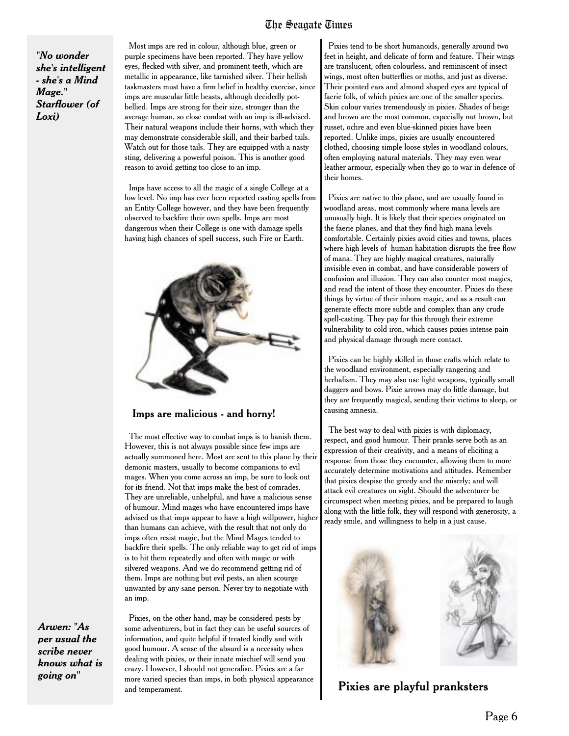*"No wonder she's intelligent - she's a Mind Mage." Starflower (of Loxi)*

Most imps are red in colour, although blue, green or purple specimens have been reported. They have yellow eyes, flecked with silver, and prominent teeth, which are metallic in appearance, like tarnished silver. Their hellish taskmasters must have a firm belief in healthy exercise, since imps are muscular little beasts, although decidedly potbellied. Imps are strong for their size, stronger than the average human, so close combat with an imp is ill-advised. Their natural weapons include their horns, with which they may demonstrate considerable skill, and their barbed tails. Watch out for those tails. They are equipped with a nasty sting, delivering a powerful poison. This is another good reason to avoid getting too close to an imp.

Imps have access to all the magic of a single College at a low level. No imp has ever been reported casting spells from an Entity College however, and they have been frequently observed to backfire their own spells. Imps are most dangerous when their College is one with damage spells having high chances of spell success, such Fire or Earth.



#### Imps are malicious - and horny!

The most effective way to combat imps is to banish them. However, this is not always possible since few imps are actually summoned here. Most are sent to this plane by their demonic masters, usually to become companions to evil mages. When you come across an imp, be sure to look out for its friend. Not that imps make the best of comrades. They are unreliable, unhelpful, and have a malicious sense of humour. Mind mages who have encountered imps have advised us that imps appear to have a high willpower, higher than humans can achieve, with the result that not only do imps often resist magic, but the Mind Mages tended to backfire their spells. The only reliable way to get rid of imps is to hit them repeatedly and often with magic or with silvered weapons. And we do recommend getting rid of them. Imps are nothing but evil pests, an alien scourge unwanted by any sane person. Never try to negotiate with an imp.

*Arwen: "As per usual the scribe never knows what is going on"*

Pixies, on the other hand, may be considered pests by some adventurers, but in fact they can be useful sources of information, and quite helpful if treated kindly and with good humour. A sense of the absurd is a necessity when dealing with pixies, or their innate mischief will send you crazy. However, I should not generalise. Pixies are a far more varied species than imps, in both physical appearance and temperament.

Pixies tend to be short humanoids, generally around two feet in height, and delicate of form and feature. Their wings are translucent, often colourless, and reminiscent of insect wings, most often butterflies or moths, and just as diverse. Their pointed ears and almond shaped eyes are typical of faerie folk, of which pixies are one of the smaller species. Skin colour varies tremendously in pixies. Shades of beige and brown are the most common, especially nut brown, but russet, ochre and even blue-skinned pixies have been reported. Unlike imps, pixies are usually encountered clothed, choosing simple loose styles in woodland colours, often employing natural materials. They may even wear leather armour, especially when they go to war in defence of their homes.

Pixies are native to this plane, and are usually found in woodland areas, most commonly where mana levels are unusually high. It is likely that their species originated on the faerie planes, and that they find high mana levels comfortable. Certainly pixies avoid cities and towns, places where high levels of human habitation disrupts the free flow of mana. They are highly magical creatures, naturally invisible even in combat, and have considerable powers of confusion and illusion. They can also counter most magics, and read the intent of those they encounter. Pixies do these things by virtue of their inborn magic, and as a result can generate effects more subtle and complex than any crude spell-casting. They pay for this through their extreme vulnerability to cold iron, which causes pixies intense pain and physical damage through mere contact.

Pixies can be highly skilled in those crafts which relate to the woodland environment, especially rangering and herbalism. They may also use light weapons, typically small daggers and bows. Pixie arrows may do little damage, but they are frequently magical, sending their victims to sleep, or causing amnesia.

The best way to deal with pixies is with diplomacy, respect, and good humour. Their pranks serve both as an expression of their creativity, and a means of eliciting a response from those they encounter, allowing them to more accurately determine motivations and attitudes. Remember that pixies despise the greedy and the miserly; and will attack evil creatures on sight. Should the adventurer be circumspect when meeting pixies, and be prepared to laugh along with the little folk, they will respond with generosity, a ready smile, and willingness to help in a just cause.



Pixies are playful pranksters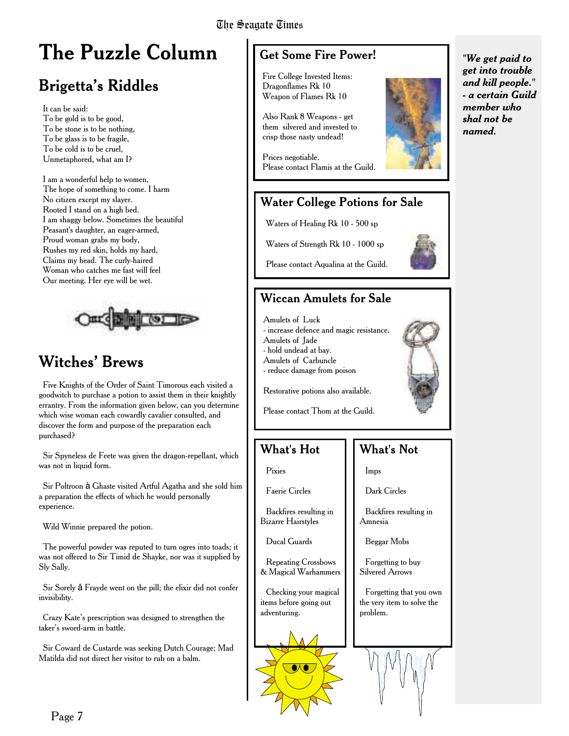## **The Puzzle Column**

### Brigetta's Riddles

It can be said: To be gold is to be good, To be stone is to be nothing, To be glass is to be fragile, To be cold is to be cruel, Unmetaphored, what am I?

I am a wonderful help to women, The hope of something to come. I harm No citizen except my slayer. Rooted I stand on a high bed. I am shaggy below. Sometimes the beautiful Peasant's daughter, an eager-armed, Proud woman grabs my body, Rushes my red skin, holds my hard, Claims my head. The curly-haired Woman who catches me fast will feel Our meeting. Her eye will be wet.



#### Witches' Brews

Five Knights of the Order of Saint Timorous each visited a goodwitch to purchase a potion to assist them in their knightly errantry. From the information given below, can you determine which wise woman each cowardly cavalier consulted, and discover the form and purpose of the preparation each purchased?

Sir Spyneless de Feete was given the dragon-repellant, which was not in liquid form.

Sir Poltroon à Ghaste visited Artful Agatha and she sold him a preparation the effects of which he would personally experience.

Wild Winnie prepared the potion.

The powerful powder was reputed to turn ogres into toads; it was not offered to Sir Timid de Shayke, nor was it supplied by Sly Sally.

Sir Sorely  $\hat{a}$  Frayde went on the pill; the elixir did not confer invisibility.

Crazy Kate's prescription was designed to strengthen the taker's sword-arm in battle.

Sir Coward de Custarde was seeking Dutch Courage; Mad Matilda did not direct her visitor to rub on a balm.

#### Get Some Fire Power!

Fire College Invested Items: Dragonflames Rk 10 Weapon of Flames Rk 10

Also Rank 8 Weapons - get them silvered and invested to crisp those nasty undead!

Prices negotiable. Please contact Flamis at the Guild.

#### Water College Potions for Sale

Waters of Healing Rk 10 - 500 sp

Waters of Strength Rk 10 - 1000 sp



Please contact Aqualina at the Guild.

#### Wiccan Amulets for Sale

Amulets of Luck - increase defence and magic resistance. Amulets of Jade - hold undead at bay.

Amulets of Carbuncle

- reduce damage from poison



Restorative potions also available.

Please contact Thom at the Guild.

#### What's Hot

Pixies

Faerie Circles

Backfires resulting in Bizarre Hairstyles

Ducal Guards

Repeating Crossbows & Magical Warhammers

Checking your magical items before going out adventuring.



#### What's Not

Imps

Dark Circles

Backfires resulting in Amnesia

Beggar Mobs

Forgetting to buy Silvered Arrows

Forgetting that you own the very item to solve the problem.



*"We get paid to get into trouble and kill people." - a certain Guild member who shal not be named.*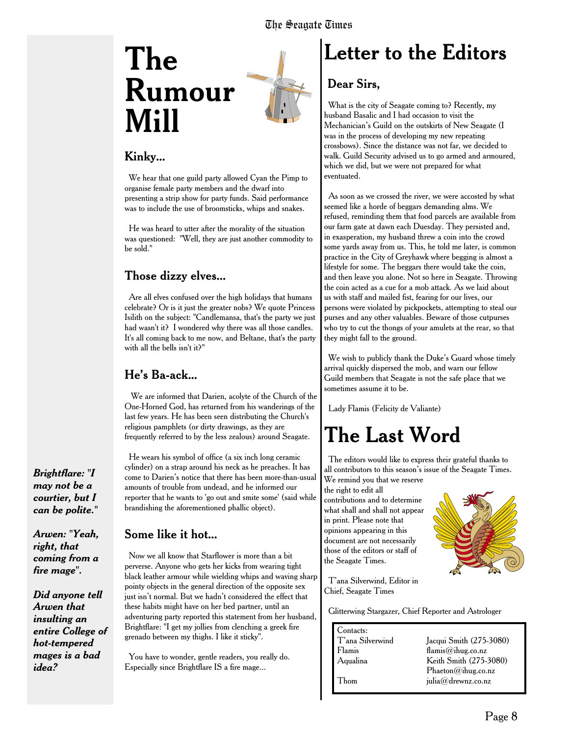## **The Rumour Mill**



#### Kinky...

We hear that one guild party allowed Cyan the Pimp to organise female party members and the dwarf into presenting a strip show for party funds. Said performance was to include the use of broomsticks, whips and snakes.

He was heard to utter after the morality of the situation was questioned: "Well, they are just another commodity to be sold."

#### Those dizzy elves...

Are all elves confused over the high holidays that humans celebrate? Or is it just the greater nobs? We quote Princess Isilith on the subject: "Candlemansa, that's the party we just had wasn't it? I wondered why there was all those candles. It's all coming back to me now, and Beltane, that's the party with all the bells isn't it?"

#### He's Ba-ack...

We are informed that Darien, acolyte of the Church of the One-Horned God, has returned from his wanderings of the last few years. He has been seen distributing the Church's religious pamphlets (or dirty drawings, as they are frequently referred to by the less zealous) around Seagate.

He wears his symbol of office (a six inch long ceramic cylinder) on a strap around his neck as he preaches. It has come to Darien's notice that there has been more-than-usual amounts of trouble from undead, and he informed our reporter that he wants to 'go out and smite some' (said while brandishing the aforementioned phallic object).

#### Some like it hot...

Now we all know that Starflower is more than a bit perverse. Anyone who gets her kicks from wearing tight black leather armour while wielding whips and waving sharp pointy objects in the general direction of the opposite sex just isn't normal. But we hadn't considered the effect that these habits might have on her bed partner, until an adventuring party reported this statement from her husband, Brightflare: "I get my jollies from clenching a greek fire grenado between my thighs. I like it sticky".

You have to wonder, gentle readers, you really do. Especially since Brightflare IS a fire mage...

## **Letter to the Editors**

#### Dear Sirs,

What is the city of Seagate coming to? Recently, my husband Basalic and I had occasion to visit the Mechanician's Guild on the outskirts of New Seagate (I was in the process of developing my new repeating crossbows). Since the distance was not far, we decided to walk. Guild Security advised us to go armed and armoured, which we did, but we were not prepared for what eventuated.

As soon as we crossed the river, we were accosted by what seemed like a horde of beggars demanding alms. We refused, reminding them that food parcels are available from our farm gate at dawn each Duesday. They persisted and, in exasperation, my husband threw a coin into the crowd some yards away from us. This, he told me later, is common practice in the City of Greyhawk where begging is almost a lifestyle for some. The beggars there would take the coin, and then leave you alone. Not so here in Seagate. Throwing the coin acted as a cue for a mob attack. As we laid about us with staff and mailed fist, fearing for our lives, our persons were violated by pickpockets, attempting to steal our purses and any other valuables. Beware of those cutpurses who try to cut the thongs of your amulets at the rear, so that they might fall to the ground.

We wish to publicly thank the Duke's Guard whose timely arrival quickly dispersed the mob, and warn our fellow Guild members that Seagate is not the safe place that we sometimes assume it to be.

Lady Flamis (Felicity de Valiante)

### **The Last Word**

The editors would like to express their grateful thanks to all contributors to this season's issue of the Seagate Times. We remind you that we reserve

the right to edit all contributions and to determine what shall and shall not appear in print. Please note that opinions appearing in this document are not necessarily those of the editors or staff of the Seagate Times.



T'ana Silverwind, Editor in Chief, Seagate Times

Glitterwing Stargazer, Chief Reporter and Astrologer

| Contacts:        |                         |
|------------------|-------------------------|
| T'ana Silverwind | Jacqui Smith (275-3080) |
| Flamis           | flamis@ihug.co.nz       |
| Aqualina         | Keith Smith (275-3080)  |
|                  | Phaeton@ihug.co.nz      |
| Thom             | julia@drewnz.co.nz      |
|                  |                         |

*Brightflare: "I may not be a courtier, but I can be polite."*

*Arwen: "Yeah, right, that coming from a fire mage".*

*Did anyone tell Arwen that insulting an entire College of hot-tempered mages is a bad idea?*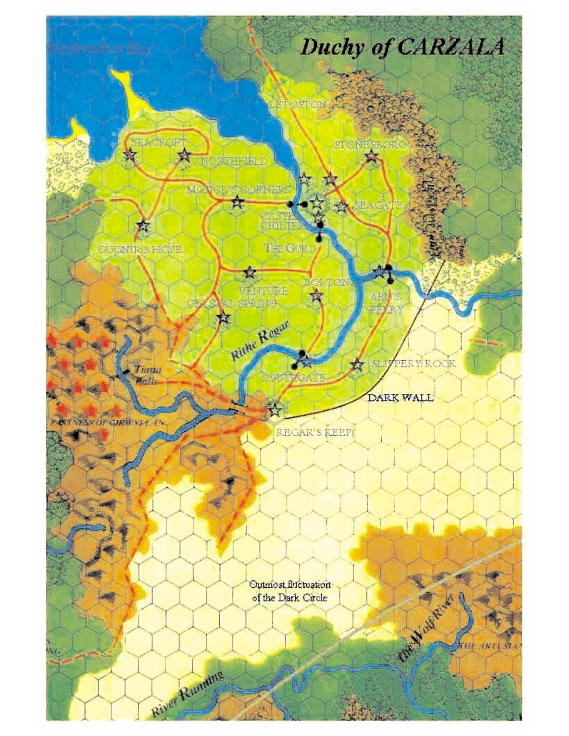